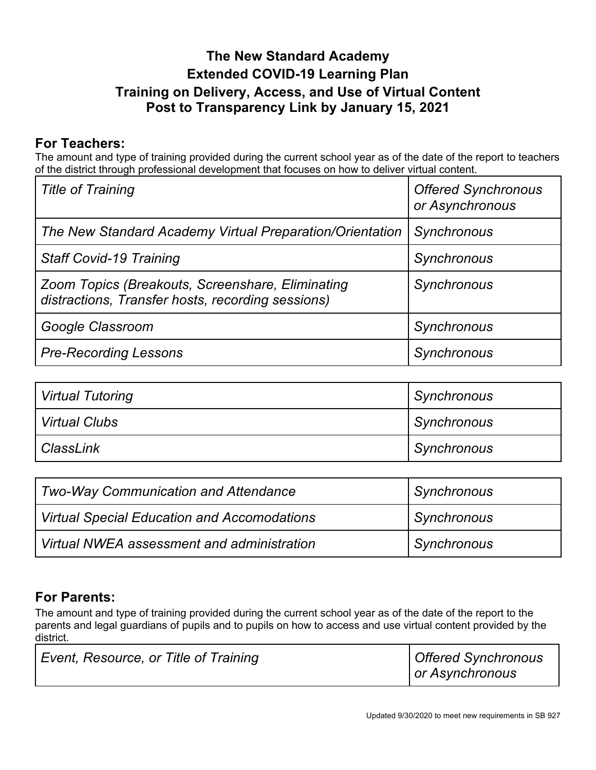## **The New Standard Academy Extended COVID-19 Learning Plan Training on Delivery, Access, and Use of Virtual Content Post to Transparency Link by January 15, 2021**

## **For Teachers:**

The amount and type of training provided during the current school year as of the date of the report to teachers of the district through professional development that focuses on how to deliver virtual content.

| <b>Title of Training</b>                                                                              | <b>Offered Synchronous</b><br>or Asynchronous |
|-------------------------------------------------------------------------------------------------------|-----------------------------------------------|
| The New Standard Academy Virtual Preparation/Orientation                                              | Synchronous                                   |
| <b>Staff Covid-19 Training</b>                                                                        | Synchronous                                   |
| Zoom Topics (Breakouts, Screenshare, Eliminating<br>distractions, Transfer hosts, recording sessions) | Synchronous                                   |
| Google Classroom                                                                                      | Synchronous                                   |
| <b>Pre-Recording Lessons</b>                                                                          | Synchronous                                   |

| <b>Virtual Tutoring</b> | <b>Synchronous</b> |
|-------------------------|--------------------|
| <b>Virtual Clubs</b>    | Synchronous        |
| ClassLink               | Synchronous        |

| Two-Way Communication and Attendance        | <b>Synchronous</b> |
|---------------------------------------------|--------------------|
| Virtual Special Education and Accomodations | <b>Synchronous</b> |
| Wirtual NWEA assessment and administration  | Synchronous        |

## **For Parents:**

The amount and type of training provided during the current school year as of the date of the report to the parents and legal guardians of pupils and to pupils on how to access and use virtual content provided by the district.

| Event, Resource, or Title of Training | Offered Synchronous<br>or Asynchronous |
|---------------------------------------|----------------------------------------|
|---------------------------------------|----------------------------------------|